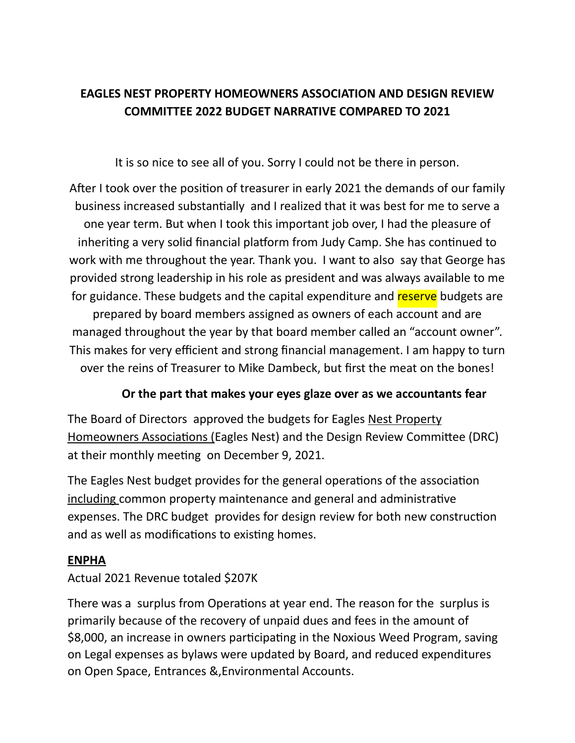# **EAGLES NEST PROPERTY HOMEOWNERS ASSOCIATION AND DESIGN REVIEW COMMITTEE 2022 BUDGET NARRATIVE COMPARED TO 2021**

It is so nice to see all of you. Sorry I could not be there in person.

After I took over the position of treasurer in early 2021 the demands of our family business increased substantially and I realized that it was best for me to serve a one year term. But when I took this important job over, I had the pleasure of inheriting a very solid financial platform from Judy Camp. She has continued to work with me throughout the year. Thank you. I want to also say that George has provided strong leadership in his role as president and was always available to me for guidance. These budgets and the capital expenditure and reserve budgets are prepared by board members assigned as owners of each account and are managed throughout the year by that board member called an "account owner". This makes for very efficient and strong financial management. I am happy to turn over the reins of Treasurer to Mike Dambeck, but first the meat on the bones!

### **Or the part that makes your eyes glaze over as we accountants fear**

The Board of Directors approved the budgets for Eagles Nest Property Homeowners Associations (Eagles Nest) and the Design Review Committee (DRC) at their monthly meeting on December 9, 2021.

The Eagles Nest budget provides for the general operations of the association including common property maintenance and general and administrative expenses. The DRC budget provides for design review for both new construction and as well as modifications to existing homes.

### **ENPHA**

### Actual 2021 Revenue totaled \$207K

There was a surplus from Operations at year end. The reason for the surplus is primarily because of the recovery of unpaid dues and fees in the amount of \$8,000, an increase in owners participating in the Noxious Weed Program, saving on Legal expenses as bylaws were updated by Board, and reduced expenditures on Open Space, Entrances &,Environmental Accounts.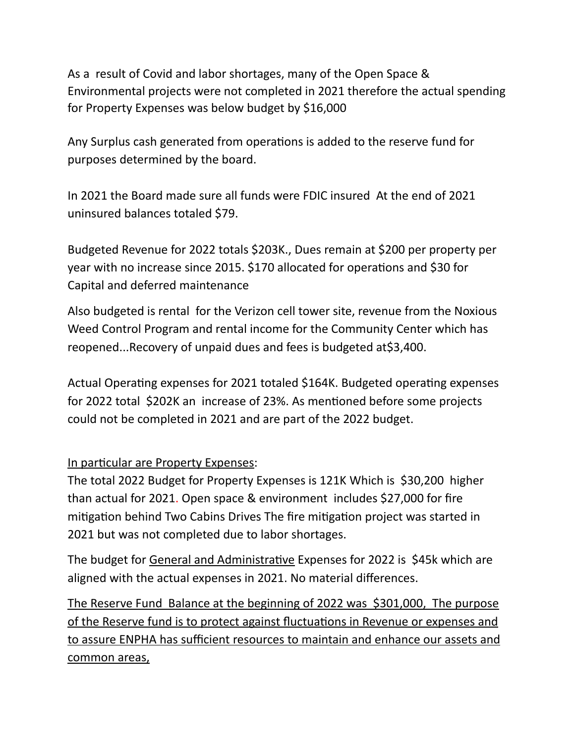As a result of Covid and labor shortages, many of the Open Space & Environmental projects were not completed in 2021 therefore the actual spending for Property Expenses was below budget by \$16,000

Any Surplus cash generated from operations is added to the reserve fund for purposes determined by the board.

In 2021 the Board made sure all funds were FDIC insured At the end of 2021 uninsured balances totaled \$79.

Budgeted Revenue for 2022 totals \$203K., Dues remain at \$200 per property per year with no increase since 2015. \$170 allocated for operations and \$30 for Capital and deferred maintenance

Also budgeted is rental for the Verizon cell tower site, revenue from the Noxious Weed Control Program and rental income for the Community Center which has reopened...Recovery of unpaid dues and fees is budgeted at\$3,400.

Actual Operating expenses for 2021 totaled \$164K. Budgeted operating expenses for 2022 total \$202K an increase of 23%. As mentioned before some projects could not be completed in 2021 and are part of the 2022 budget.

#### In particular are Property Expenses:

The total 2022 Budget for Property Expenses is 121K Which is \$30,200 higher than actual for 2021. Open space & environment includes \$27,000 for fire mitigation behind Two Cabins Drives The fire mitigation project was started in 2021 but was not completed due to labor shortages.

The budget for General and Administrative Expenses for 2022 is \$45k which are aligned with the actual expenses in 2021. No material differences.

The Reserve Fund Balance at the beginning of 2022 was \$301,000, The purpose of the Reserve fund is to protect against fluctuations in Revenue or expenses and to assure ENPHA has sufficient resources to maintain and enhance our assets and common areas,